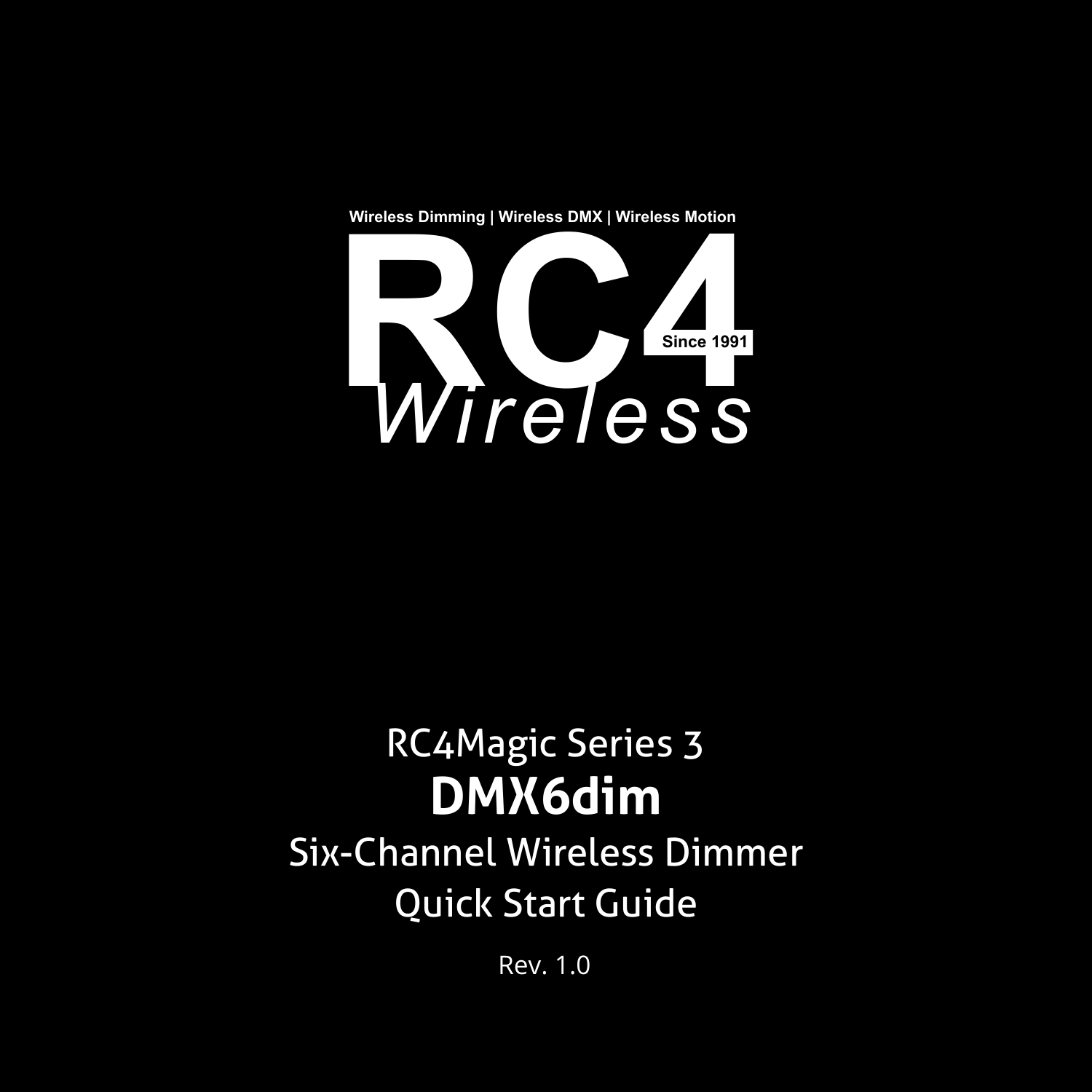**Wireless Dimming | Wireless DMX | Wireless Motion**



# RC4Magic Series 3 **DMX6dim**

Six-Channel Wireless Dimmer Quick Start Guide

Rev. 1.0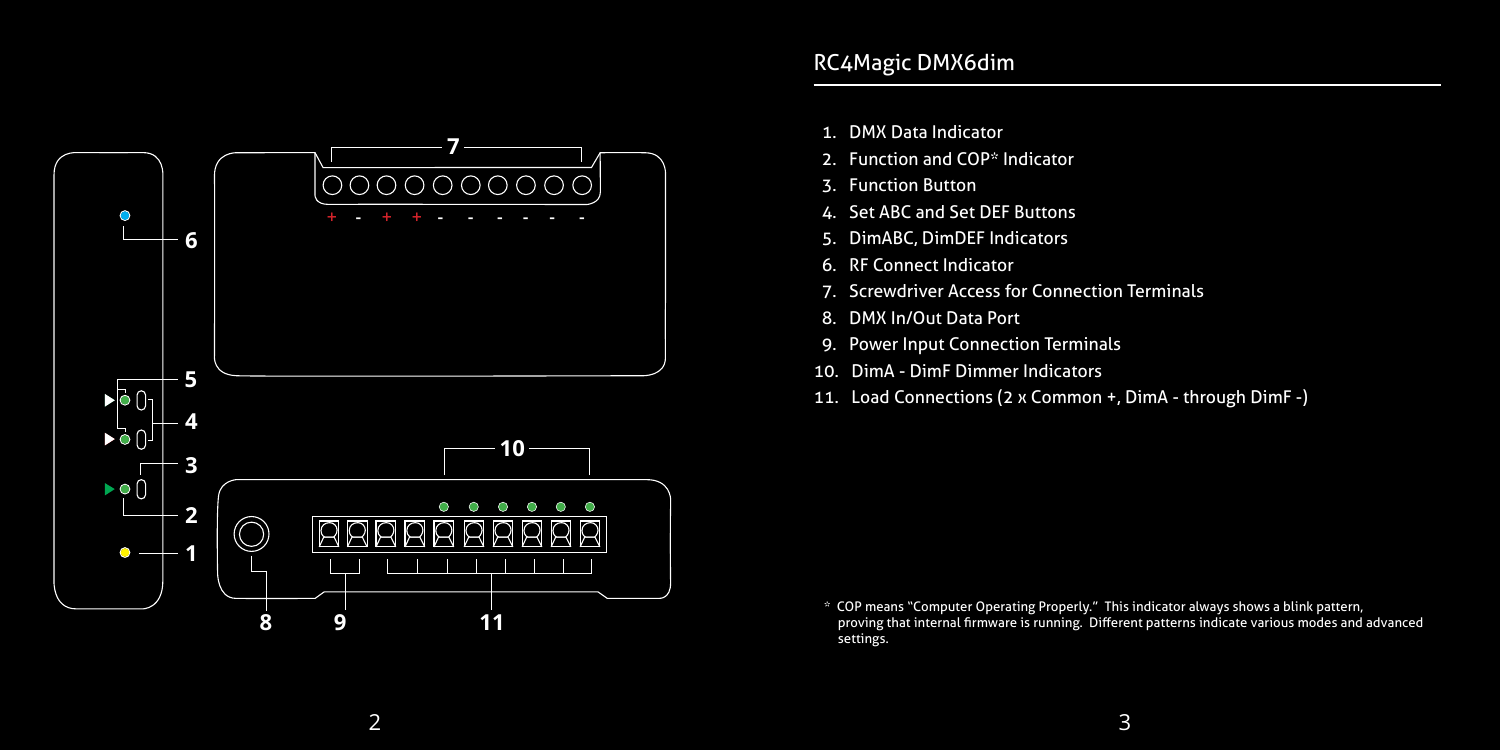

- 1. DMX Data Indicator
- 2. Function and COP\* Indicator
- 3. Function Button
- 4. Set ABC and Set DEF Buttons
- 5. DimABC, DimDEF Indicators
- 6. RF Connect Indicator
- 7. Screwdriver Access for Connection Terminals
- 8. DMX In/Out Data Port
- 9. Power Input Connection Terminals
- 10. DimA DimF Dimmer Indicators
- 11. Load Connections (2 x Common +, DimA through DimF -)

 <sup>\*</sup> COP means "Computer Operating Properly." This indicator always shows a blink pattern, proving that internal firmware is running. Different patterns indicate various modes and advanced settings.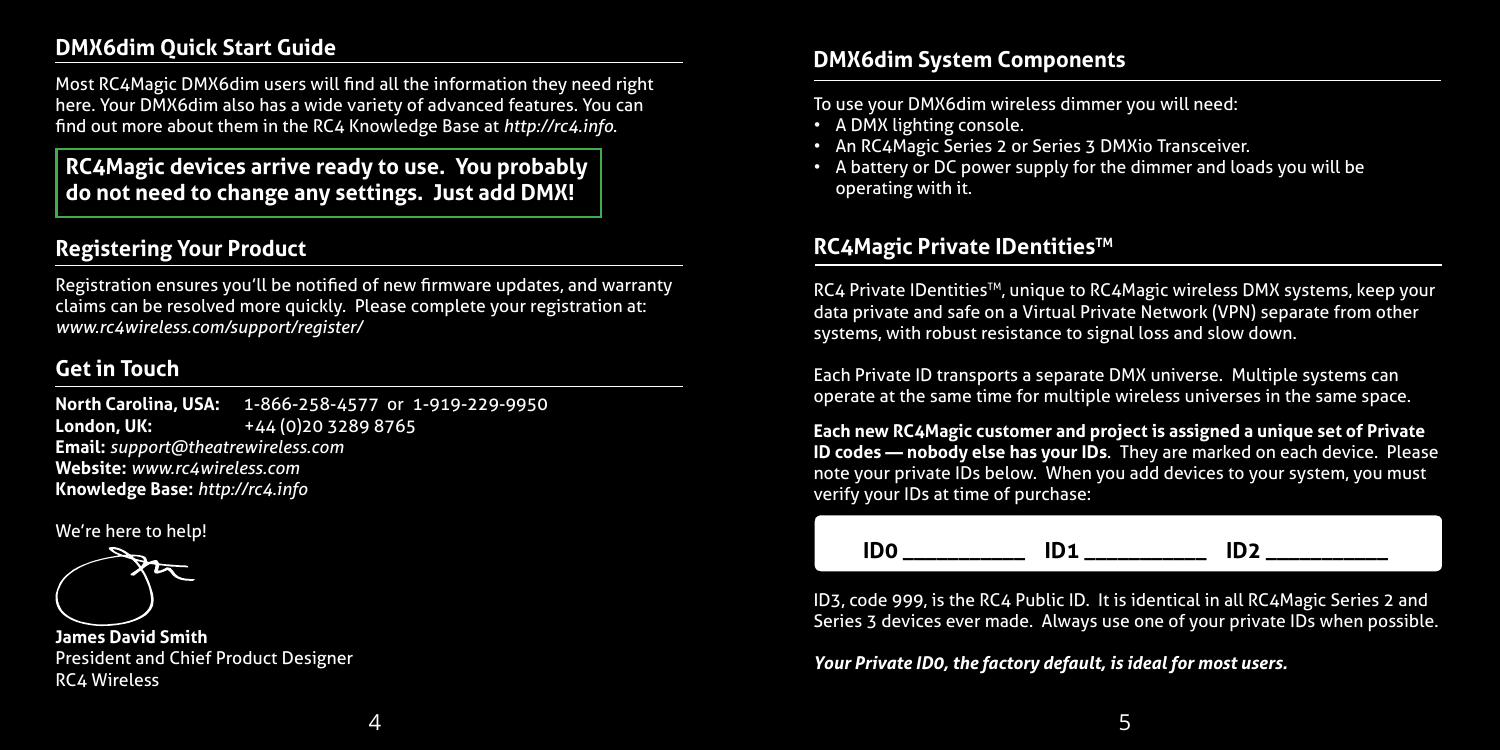## **DMX6dim Quick Start Guide**

Most RC4Magic DMX6dim users will find all the information they need right here. Your DMX6dim also has a wide variety of advanced features. You can find out more about them in the RC4 Knowledge Base at *http://rc4.info*.

**RC4Magic devices arrive ready to use. You probably do not need to change any settings. Just add DMX!**

## **Registering Your Product**

Registration ensures you'll be notified of new firmware updates, and warranty claims can be resolved more quickly. Please complete your registration at: *www.rc4wireless.com/support/register/*

## **Get in Touch**

**North Carolina, USA:** 1-866-258-4577 or 1-919-229-9950 **London, UK:** +44 (0)20 3289 8765 **Email:** *support@theatrewireless.com* **Website:** *www.rc4wireless.com* **Knowledge Base:** *http://rc4.info*

We're here to help!



**James David Smith** President and Chief Product Designer RC4 Wireless

## **DMX6dim System Components**

To use your DMX6dim wireless dimmer you will need:

- A DMX lighting console.
- An RC4Magic Series 2 or Series 3 DMXio Transceiver.
- A battery or DC power supply for the dimmer and loads you will be operating with it.

#### **RC4Magic Private IDentitiesTM**

RC4 Private IDentities<sup>TM</sup>, unique to RC4Magic wireless DMX systems, keep your data private and safe on a Virtual Private Network (VPN) separate from other systems, with robust resistance to signal loss and slow down.

Each Private ID transports a separate DMX universe. Multiple systems can operate at the same time for multiple wireless universes in the same space.

**Each new RC4Magic customer and project is assigned a unique set of Private ID codes — nobody else has your IDs**. They are marked on each device. Please note your private IDs below. When you add devices to your system, you must verify your IDs at time of purchase:

 **ID0 \_\_\_\_\_\_\_\_\_\_\_ ID1 \_\_\_\_\_\_\_\_\_\_\_ ID2 \_\_\_\_\_\_\_\_\_\_\_**

ID3, code 999, is the RC4 Public ID. It is identical in all RC4Magic Series 2 and Series 3 devices ever made. Always use one of your private IDs when possible.

*Your Private ID0, the factory default, is ideal for most users.*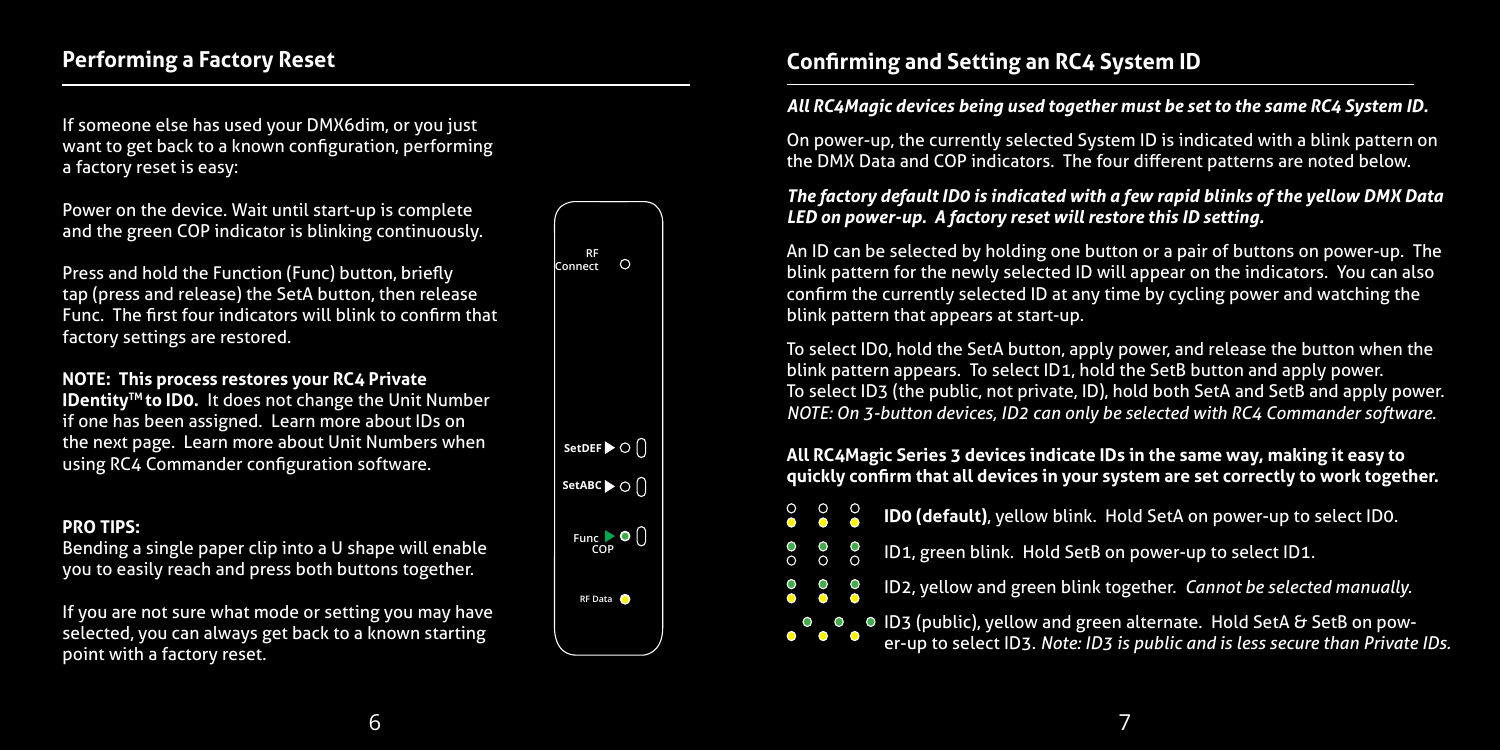If someone else has used your DMX6dim, or you just want to get back to a known configuration, performing a factory reset is easy:

Power on the device. Wait until start-up is complete and the green COP indicator is blinking continuously.

Press and hold the Function (Func) button, briefly tap (press and release) the SetA button, then release Func. The first four indicators will blink to confirm that factory settings are restored.

#### **NOTE: This process restores your RC4 Private**

**IDentity™ to ID0.** It does not change the Unit Number if one has been assigned. Learn more about IDs on the next page. Learn more about Unit Numbers when using RC4 Commander configuration software.

#### **PRO TIPS:**

Bending a single paper clip into a U shape will enable you to easily reach and press both buttons together.

If you are not sure what mode or setting you may have selected, you can always get back to a known starting point with a factory reset.



 $\overline{O}$ 

## **Confirming and Setting an RC4 System ID**

#### *All RC4Magic devices being used together must be set to the same RC4 System ID.*

On power-up, the currently selected System ID is indicated with a blink pattern on the DMX Data and COP indicators. The four different patterns are noted below.

#### *The factory default ID0 is indicated with a few rapid blinks of the yellow DMX Data LED on power-up. A factory reset will restore this ID setting.*

An ID can be selected by holding one button or a pair of buttons on power-up. The blink pattern for the newly selected ID will appear on the indicators. You can also confirm the currently selected ID at any time by cycling power and watching the blink pattern that appears at start-up.

To select ID0, hold the SetA button, apply power, and release the button when the blink pattern appears. To select ID1, hold the SetB button and apply power. To select ID3 (the public, not private, ID), hold both SetA and SetB and apply power. *NOTE: On 3-button devices, ID2 can only be selected with RC4 Commander software.*

#### **All RC4Magic Series 3 devices indicate IDs in the same way, making it easy to quickly confirm that all devices in your system are set correctly to work together.**

- **ID0 (default)**, yellow blink. Hold SetA on power-up to select ID0.
- $\circ$ ိ ID1, green blink. Hold SetB on power-up to select ID1.
	- ID2, yellow and green blink together. *Cannot be selected manually.*

ID3 (public), yellow and green alternate. Hold SetA & SetB on pow-

er-up to select ID3. *Note: ID3 is public and is less secure than Private IDs.*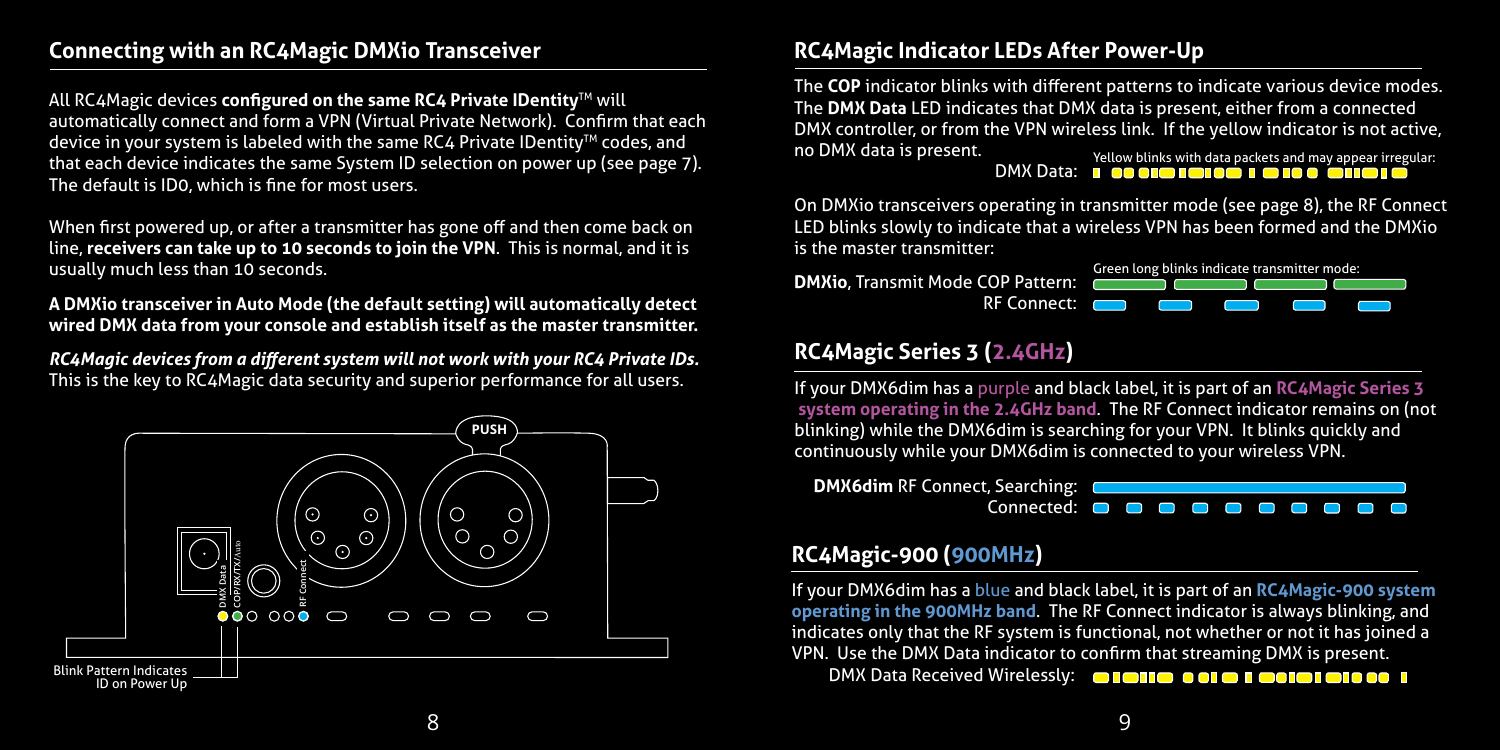## **Connecting with an RC4Magic DMXio Transceiver**

All RC4Magic devices **configured on the same RC4 Private IDentity**TM will automatically connect and form a VPN (Virtual Private Network). Confirm that each device in your system is labeled with the same RC4 Private IDentity<sup>™</sup> codes, and that each device indicates the same System ID selection on power up (see page 7). The default is ID0, which is fine for most users.

When first powered up, or after a transmitter has gone off and then come back on line, **receivers can take up to 10 seconds to join the VPN**. This is normal, and it is usually much less than 10 seconds.

**A DMXio transceiver in Auto Mode (the default setting) will automatically detect wired DMX data from your console and establish itself as the master transmitter.**

*RC4Magic devices from a different system will not work with your RC4 Private IDs.*  This is the key to RC4Magic data security and superior performance for all users.



# **Title RC4Magic Indicator LEDs After Power-Up**

DMX controller, or from the VPN wireless link. If the yellow indicator is not active, Yellow blinks with data packets and may appear irregular: The **COP** indicator blinks with different patterns to indicate various device modes. The **DMX Data** LED indicates that DMX data is present, either from a connected no DMX data is present.

DMX Data: **BROOFFICHOOFFICHO OFFICHOL** 

On DMXio transceivers operating in transmitter mode (see page 8), the RF Connect LED blinks slowly to indicate that a wireless VPN has been formed and the DMXio is the master transmitter:

**DMXio**, Transmit Mode COP Pattern: RF Connect: **Constant** 



## **RC4Magic Series 3 (2.4GHz)**

If your DMX6dim has a purple and black label, it is part of an **RC4Magic Series 3 system operating in the 2.4GHz band**. The RF Connect indicator remains on (not blinking) while the DMX6dim is searching for your VPN. It blinks quickly and continuously while your DMX6dim is connected to your wireless VPN.



## **RC4Magic-900 (900MHz)**

If your DMX6dim has a blue and black label, it is part of an **RC4Magic-900 system operating in the 900MHz band**. The RF Connect indicator is always blinking, and indicates only that the RF system is functional, not whether or not it has joined a VPN. Use the DMX Data indicator to confirm that streaming DMX is present.

DMX Data Received Wirelessly: **OR DATE OF OR DETERMINING THE REAL PROPERTY**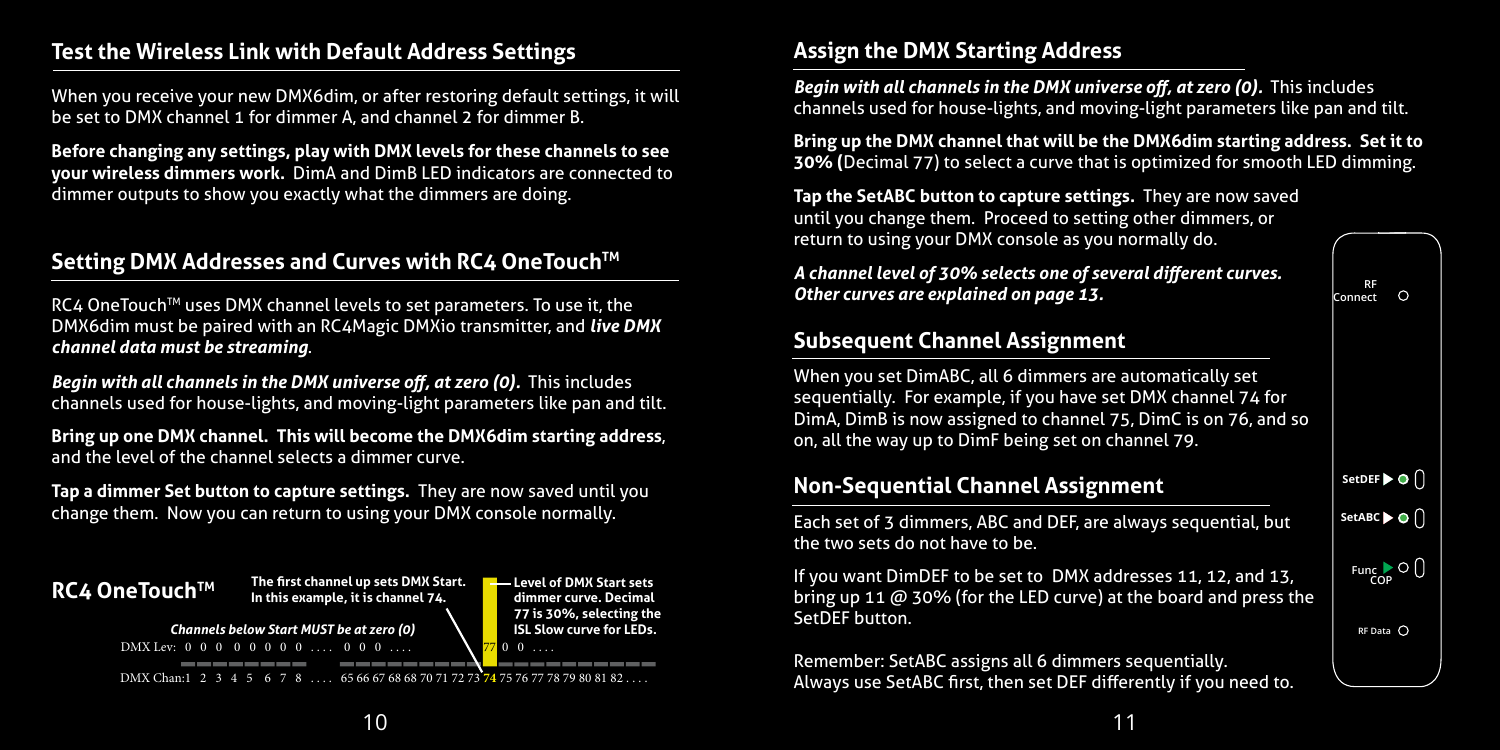## **Test the Wireless Link with Default Address Settings**

When you receive your new DMX6dim, or after restoring default settings, it will be set to DMX channel 1 for dimmer A, and channel 2 for dimmer B.

**Before changing any settings, play with DMX levels for these channels to see your wireless dimmers work.** DimA and DimB LED indicators are connected to dimmer outputs to show you exactly what the dimmers are doing.

## **Setting DMX Addresses and Curves with RC4 OneTouch™**

RC4 OneTouch™ uses DMX channel levels to set parameters. To use it, the DMX6dim must be paired with an RC4Magic DMXio transmitter, and *live DMX channel data must be streaming*.

*Begin with all channels in the DMX universe off, at zero (0). This includes* channels used for house-lights, and moving-light parameters like pan and tilt.

**Bring up one DMX channel. This will become the DMX6dim starting address**, and the level of the channel selects a dimmer curve.

**Tap a dimmer Set button to capture settings.** They are now saved until you change them. Now you can return to using your DMX console normally.



## **Assign the DMX Starting Address**

*Begin with all channels in the DMX universe off, at zero (0). This includes* channels used for house-lights, and moving-light parameters like pan and tilt.

**Bring up the DMX channel that will be the DMX6dim starting address. Set it to 30% (**Decimal 77) to select a curve that is optimized for smooth LED dimming.

**Tap the SetABC button to capture settings.** They are now saved until you change them. Proceed to setting other dimmers, or return to using your DMX console as you normally do.

*A channel level of 30% selects one of several different curves. Other curves are explained on page 13.*

#### **RF Connect**  $\Omega$

## **Subsequent Channel Assignment**

**Non-Sequential Channel Assignment**

the two sets do not have to be.

SetDFF button.

When you set DimABC, all 6 dimmers are automatically set sequentially. For example, if you have set DMX channel 74 for DimA, DimB is now assigned to channel 75, DimC is on 76, and so on, all the way up to DimF being set on channel 79.

#### Each set of 3 dimmers, ABC and DEF, are always sequential, but If you want DimDEF to be set to DMX addresses 11, 12, and 13, bring up 11 @ 30% (for the LED curve) at the board and press the **Set B SetDEF Set A SetABC**  $F$ unc $\bigcirc$ **O RF Data**

Remember: SetABC assigns all 6 dimmers sequentially. Always use SetABC first, then set DEF differently if you need to.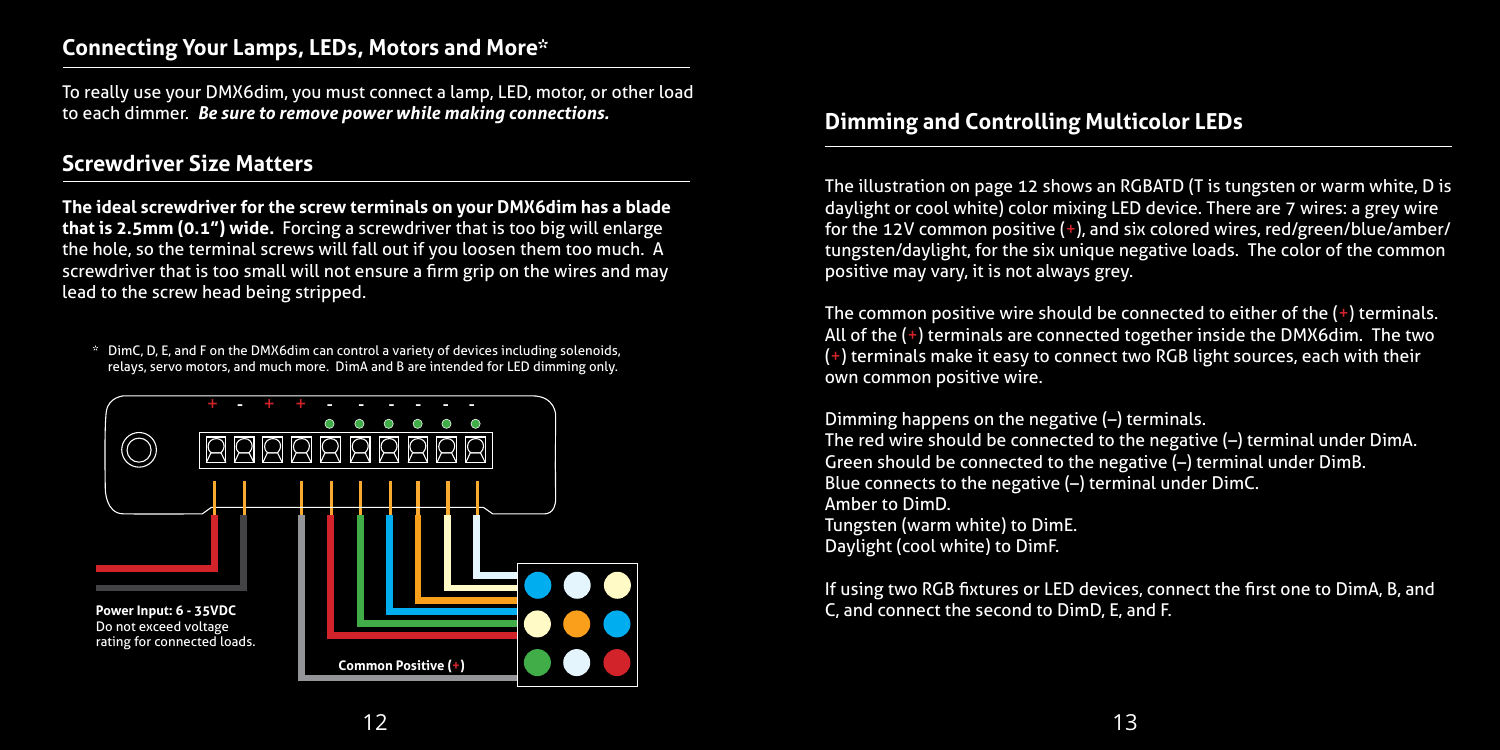## **Connecting Your Lamps, LEDs, Motors and More\***

To really use your DMX6dim, you must connect a lamp, LED, motor, or other load to each dimmer. *Be sure to remove power while making connections.*

## **Screwdriver Size Matters**

**The ideal screwdriver for the screw terminals on your DMX6dim has a blade that is 2.5mm (0.1") wide.** Forcing a screwdriver that is too big will enlarge the hole, so the terminal screws will fall out if you loosen them too much. A screwdriver that is too small will not ensure a firm grip on the wires and may lead to the screw head being stripped.

\* DimC, D, E, and F on the DMX6dim can control a variety of devices including solenoids, relays, servo motors, and much more. DimA and B are intended for LED dimming only.



#### **Dimming and Controlling Multicolor LEDs**

The illustration on page 12 shows an RGBATD (T is tungsten or warm white, D is daylight or cool white) color mixing LED device. There are 7 wires: a grey wire for the 12V common positive (+), and six colored wires, red/green/blue/amber/ tungsten/daylight, for the six unique negative loads. The color of the common positive may vary, it is not always grey.

The common positive wire should be connected to either of the  $(+)$  terminals. All of the (+) terminals are connected together inside the DMX6dim. The two (+) terminals make it easy to connect two RGB light sources, each with their own common positive wire.

Dimming happens on the negative (–) terminals. The red wire should be connected to the negative (–) terminal under DimA. Green should be connected to the negative (–) terminal under DimB. Blue connects to the negative (–) terminal under DimC. Amber to DimD. Tungsten (warm white) to DimE. Daylight (cool white) to DimF.

If using two RGB fixtures or LED devices, connect the first one to DimA, B, and C, and connect the second to DimD, E, and F.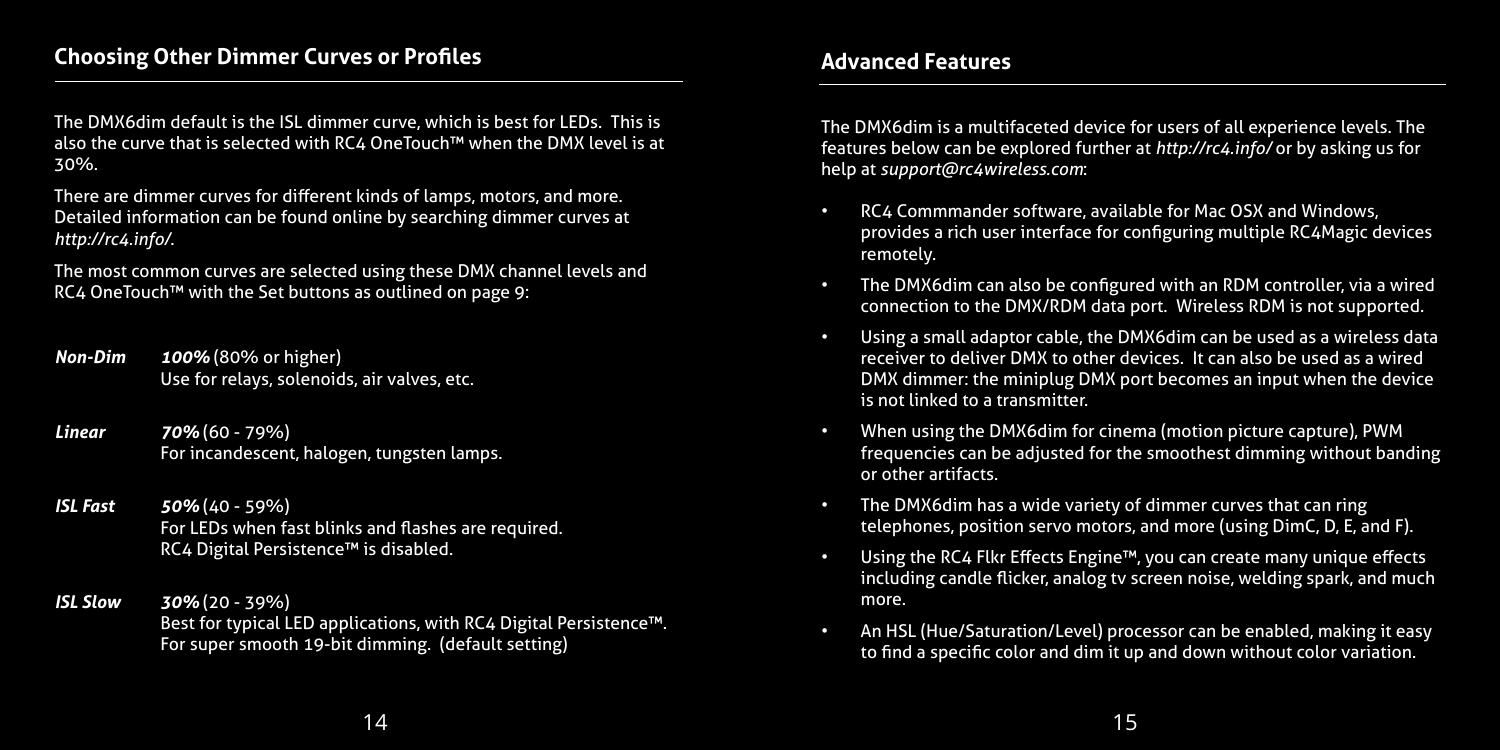#### **Choosing Other Dimmer Curves or Profiles**

The DMX6dim default is the ISL dimmer curve, which is best for LEDs. This is also the curve that is selected with RC4 OneTouch™ when the DMX level is at 30%.

There are dimmer curves for different kinds of lamps, motors, and more. Detailed information can be found online by searching dimmer curves at *http://rc4.info/*.

The most common curves are selected using these DMX channel levels and RC4 OneTouch™ with the Set buttons as outlined on page 9:

- *Non-Dim 100%* (80% or higher) Use for relays, solenoids, air valves, etc.
- *Linear 70%* (60 79%) For incandescent, halogen, tungsten lamps.
- *ISL Fast 50%* (40 59%) For LEDs when fast blinks and flashes are required. RC4 Digital Persistence™ is disabled.
- *ISL Slow 30%* (20 39%) Best for typical LED applications, with RC4 Digital Persistence™. For super smooth 19-bit dimming. (default setting)

## **Advanced Features**

The DMX6dim is a multifaceted device for users of all experience levels. The features below can be explored further at *http://rc4.info/* or by asking us for help at *support@rc4wireless.com*:

- RC4 Commmander software, available for Mac OSX and Windows, provides a rich user interface for configuring multiple RC4Magic devices remotely.
- The DMX6dim can also be configured with an RDM controller, via a wired connection to the DMX/RDM data port. Wireless RDM is not supported.
- Using a small adaptor cable, the DMX6dim can be used as a wireless data receiver to deliver DMX to other devices. It can also be used as a wired DMX dimmer: the miniplug DMX port becomes an input when the device is not linked to a transmitter.
- When using the DMX6dim for cinema (motion picture capture), PWM frequencies can be adjusted for the smoothest dimming without banding or other artifacts.
- The DMX6dim has a wide variety of dimmer curves that can ring telephones, position servo motors, and more (using DimC, D, E, and F).
- Using the RC4 Flkr Effects Engine™, you can create many unique effects including candle flicker, analog tv screen noise, welding spark, and much more.
- An HSL (Hue/Saturation/Level) processor can be enabled, making it easy to find a specific color and dim it up and down without color variation.